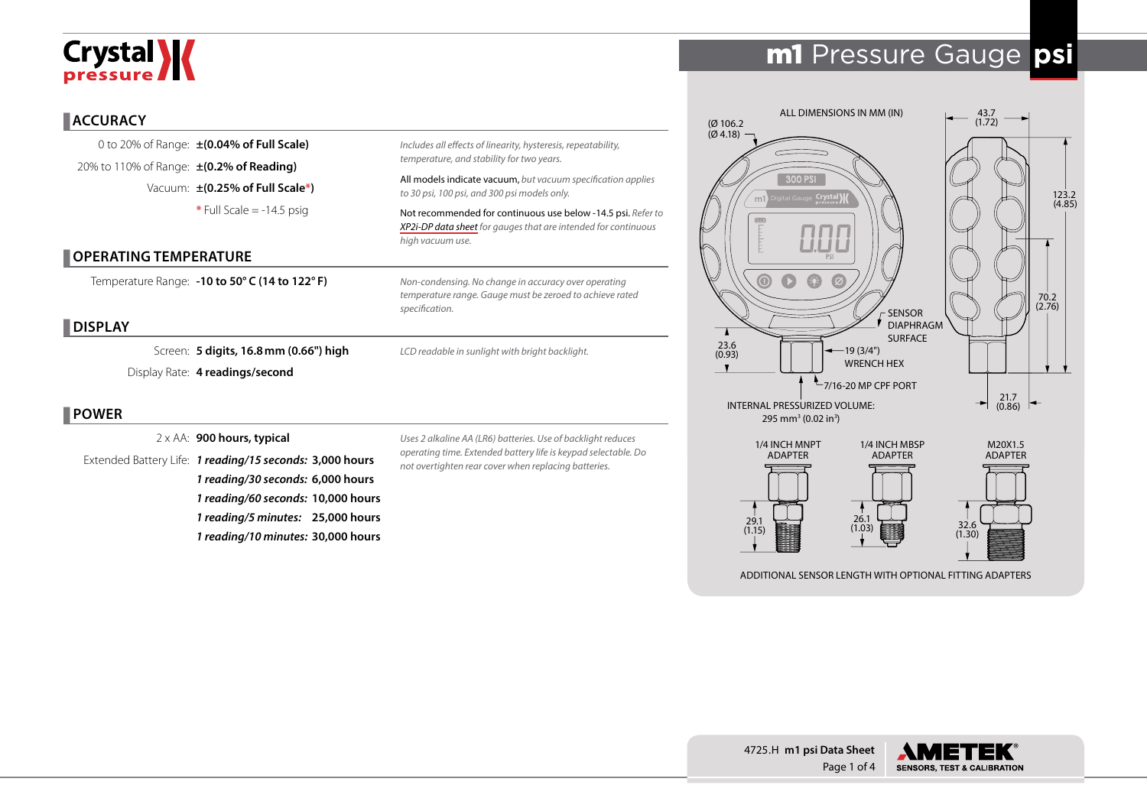# Crystal **X**

# m1 Pressure Gauge **psi**

#### **ACCURACY**

0 to 20% of Range: **±(0.04% of Full Scale)** 20% to 110% of Range: **±(0.2% of Reading)** Vacuum: **±(0.25% of Full Scale\*) \*** Full Scale = -14.5 psig

#### **OPERATING TEMPERATURE**

Temperature Range: **-10 to 50° C (14 to 122° F)**

#### **DISPLAY**

Screen: **5 digits, 16.8mm (0.66") high** Display Rate: **4 readings/second**

#### **POWER**

2 x AA: **900 hours, typical**

Extended Battery Life: *1 reading/15 seconds:* **3,000 hours** *1 reading/30 seconds:* **6,000 hours** *1 reading/60 seconds:* **10,000 hours** *1 reading/5 minutes:* **25,000 hours** *1 reading/10 minutes:* **30,000 hours**

*Uses 2 alkaline AA (LR6) batteries. Use of backlight reduces operating time. Extended battery life is keypad selectable. Do not overtighten rear cover when replacing batteries.*

*Includes all effects of linearity, hysteresis, repeatability,* 

*Non-condensing. No change in accuracy over operating temperature range. Gauge must be zeroed to achieve rated* 

*LCD readable in sunlight with bright backlight.*

All models indicate vacuum, *but vacuum specification applies* 

Not recommended for continuous use below -14.5 psi. *Refer to [XP2i-DP data sheet](http://www.ametekcalibration.com/products/pressure/digital-pressure-gauges/xp2i-dp-differential-pressure-gauge) for gauges that are intended for continuous* 

*temperature, and stability for two years.*

*to 30 psi, 100 psi, and 300 psi models only.*

*high vacuum use.* 

*specification.*



ADDITIONAL SENSOR LENGTH WITH OPTIONAL FITTING ADAPTERS



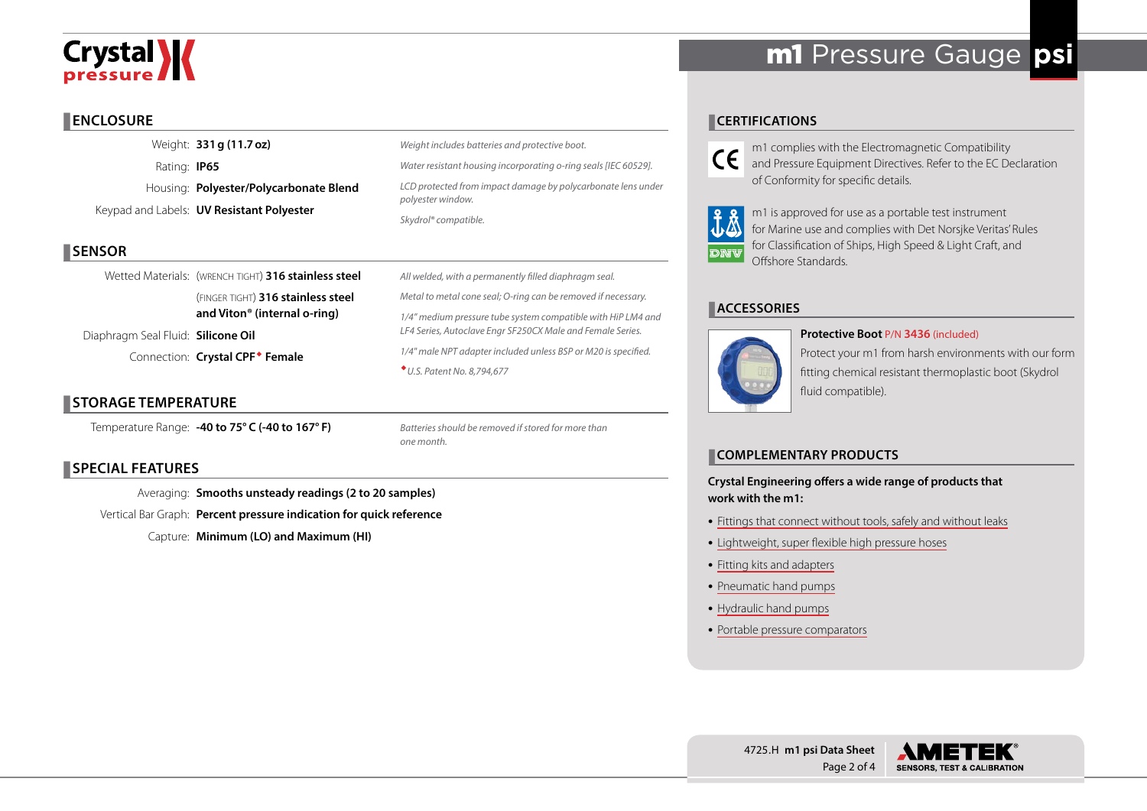# Crystal **X**

# **ENCLOSURE**

Weight: **331g (11.7oz)** Rating: **IP65** Housing: **Polyester/Polycarbonate Blend** Keypad and Labels: **UV Resistant Polyester**

# **SENSOR**

Wetted Materials: (WRENCH TIGHT) 316 stainless steel (finger tight) **316 stainless steel and Viton® (internal o-ring)**

Diaphragm Seal Fluid: **Silicone Oil** 

Connection: **Crystal CPF Female**

# **STORAGE TEMPERATURE**

Temperature Range: **-40 to 75° C (-40 to 167° F)**

*Weight includes batteries and protective boot. Water resistant housing incorporating o-ring seals [IEC 60529]. LCD protected from impact damage by polycarbonate lens under polyester window. Skydrol® compatible.*

*All welded, with a permanently filled diaphragm seal. Metal to metal cone seal; O-ring can be removed if necessary. 1/4" medium pressure tube system compatible with HiP LM4 and LF4 Series, Autoclave Engr SF250CX Male and Female Series. 1/4" male NPT adapter included unless BSP or M20 is specified. U.S. Patent No. 8,794,677*

*Batteries should be removed if stored for more than one month.*

## **SPECIAL FEATURES**

Averaging: **Smooths unsteady readings (2 to 20 samples)** Vertical Bar Graph: **Percent pressure indication for quick reference** Capture: **Minimum (LO) and Maximum (HI)**

# m1 Pressure Gauge **psi**

# **CERTIFICATIONS**

m1 complies with the Electromagnetic Compatibility CC and Pressure Equipment Directives. Refer to the EC Declaration of Conformity for specific details.



m1 is approved for use as a portable test instrument for Marine use and complies with Det Norsjke Veritas' Rules for Classification of Ships, High Speed & Light Craft, and Offshore Standards.

**Protective Boot** P/N **3436** (included)

# **ACCESSORIES**



Protect your m1 from harsh environments with our form fitting chemical resistant thermoplastic boot (Skydrol fluid compatible).

### **COMPLEMENTARY PRODUCTS**

#### **Crystal Engineering offers a wide range of products that work with the m1:**

- [Fittings that connect without tools, safely and without leaks](http://www.ametekcalibration.com/products/pump-systems/pressure-fittings/cpf-high-pressure-fittings)
- [Lightweight, super flexible high pressure hoses](http://www.ametekcalibration.com/products/pump-systems/pressure-fittings/cpf-high-pressure-fittings)
- [Fitting kits and adapters](http://www.ametekcalibration.com/products/pump-systems/pressure-fittings/cpf-high-pressure-fittings)
- [Pneumatic hand pumps](http://www.ametekcalibration.com/products/pump-systems/pneumatic-hand-pumps/t-900-series-pneumatic-hand-pump)
- [Hydraulic hand pumps](http://www.ametekcalibration.com/products/pump-systems/hydraulic-hand-pumps/t-600-series-hydraulic-hand-pump)
- [Portable pressure comparators](http://www.ametekcalibration.com/products/pump-systems/pressure-comparators/gaugecalhp-hydraulic-pressure-comparator)

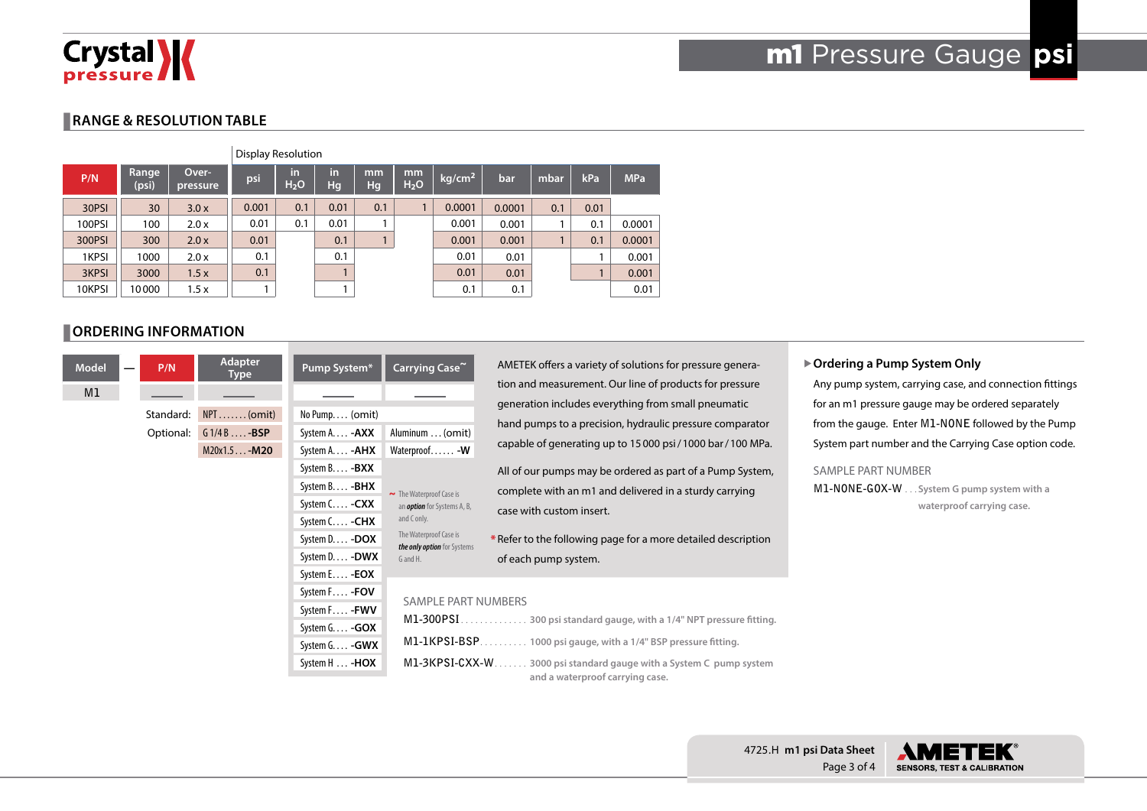

### **RANGE & RESOLUTION TABLE**

|        | <b>Display Resolution</b> |                   |       |                        |          |          |                        |                    |        |      |      |            |
|--------|---------------------------|-------------------|-------|------------------------|----------|----------|------------------------|--------------------|--------|------|------|------------|
| P/N    | Range<br>(psi)            | Over-<br>pressure | psi   | in<br>H <sub>2</sub> O | in<br>Hq | mm<br>Hg | mm<br>H <sub>2</sub> O | kg/cm <sup>2</sup> | bar    | mbar | kPa  | <b>MPa</b> |
| 30PSI  | 30                        | 3.0x              | 0.001 | 0.1                    | 0.01     | 0.1      |                        | 0.0001             | 0.0001 | 0.1  | 0.01 |            |
| 100PSI | 100                       | 2.0 x             | 0.01  | 0.1                    | 0.01     |          |                        | 0.001              | 0.001  |      | 0.1  | 0.0001     |
| 300PSI | 300                       | 2.0x              | 0.01  |                        | 0.1      |          |                        | 0.001              | 0.001  |      | 0.1  | 0.0001     |
| 1KPSI  | 1000                      | 2.0 x             | 0.1   |                        | 0.1      |          |                        | 0.01               | 0.01   |      |      | 0.001      |
| 3KPSI  | 3000                      | 1.5x              | 0.1   |                        |          |          |                        | 0.01               | 0.01   |      |      | 0.001      |
| 10KPSI | 10000                     | 1.5x              |       |                        |          |          |                        | 0.1                | 0.1    |      |      | 0.01       |

#### **ORDERING INFORMATION**

| A                | Carrying Case~                                        | Pump System*          | <b>Adapter</b><br><b>Type</b> | P/N       |  | <b>Model</b> |  |
|------------------|-------------------------------------------------------|-----------------------|-------------------------------|-----------|--|--------------|--|
| ti               |                                                       |                       |                               |           |  | M1           |  |
| $\mathbf g$<br>h |                                                       | No Pump (omit)        | $NPT$ (omit)                  | Standard: |  |              |  |
|                  | Aluminum  (omit)                                      | System A - <b>AXX</b> | $G1/4B$ $-BSP$                | Optional: |  |              |  |
| C                | Waterproof - W                                        | System A - AHX        | M20x1.5-M20                   |           |  |              |  |
| $\overline{A}$   |                                                       | System B - BXX        |                               |           |  |              |  |
| $\mathsf{C}$     | The Waterproof Case is                                | System B - BHX        |                               |           |  |              |  |
| C                | an <i>option</i> for Systems A, B,                    | System C - CXX        |                               |           |  |              |  |
|                  | and C only.                                           | System C - CHX        |                               |           |  |              |  |
| $*R$             | The Waterproof Case is<br>the only option for Systems | System D - DOX        |                               |           |  |              |  |
| $\circ$          | G and H.                                              | System D - DWX        |                               |           |  |              |  |
|                  |                                                       | System E - <b>EOX</b> |                               |           |  |              |  |
|                  | <b>SAMPLE PART NUMI</b>                               | System F - FOV        |                               |           |  |              |  |
|                  |                                                       | System F - FWV        |                               |           |  |              |  |
|                  | M1-300PSI.                                            | System G. - GOX       |                               |           |  |              |  |
|                  | M1-1KPSI-BSP                                          | System G - GWX        |                               |           |  |              |  |
|                  | M1-3KPSI-CXX-W                                        | System H  - HOX       |                               |           |  |              |  |
|                  |                                                       |                       |                               |           |  |              |  |

AMETEK offers a variety of solutions for pressure generation and measurement. Our line of products for pressure generation includes everything from small pneumatic and pumps to a precision, hydraulic pressure comparator apable of generating up to 15000 psi/1000 bar/100 MPa.

All of our pumps may be ordered as part of a Pump System, complete with an m1 and delivered in a sturdy carrying ase with custom insert.

efer to the following page for a more detailed description of each pump system.

#### **IBERS**

| M1-3KPSI-CXX-W 3000 psi standard gauge with a System C pump system |  |
|--------------------------------------------------------------------|--|
| and a waterproof carrying case.                                    |  |

#### X**Ordering a Pump System Only**

Any pump system, carrying case, and connection fittings for an m1 pressure gauge may be ordered separately from the gauge. Enter **M1-NONE** followed by the Pump System part number and the Carrying Case option code.

#### SAMPLE PART NUMBER

**M1-NONE-GOX-W** . . . System G pump system with a **waterproof carrying case.**